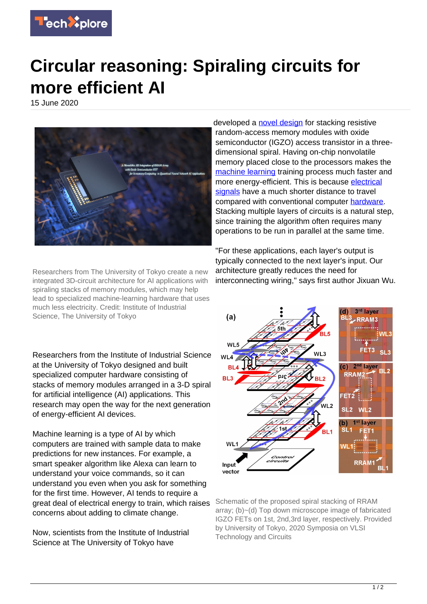

## **Circular reasoning: Spiraling circuits for more efficient AI**

15 June 2020



Researchers from The University of Tokyo create a new integrated 3D-circuit architecture for AI applications with spiraling stacks of memory modules, which may help lead to specialized machine-learning hardware that uses much less electricity. Credit: Institute of Industrial Science, The University of Tokyo

Researchers from the Institute of Industrial Science at the University of Tokyo designed and built specialized computer hardware consisting of stacks of memory modules arranged in a 3-D spiral for artificial intelligence (AI) applications. This research may open the way for the next generation of energy-efficient AI devices.

Machine learning is a type of AI by which computers are trained with sample data to make predictions for new instances. For example, a smart speaker algorithm like Alexa can learn to understand your voice commands, so it can understand you even when you ask for something for the first time. However, AI tends to require a great deal of electrical energy to train, which raises concerns about adding to climate change.

Now, scientists from the Institute of Industrial Science at The University of Tokyo have

developed a [novel design](https://techxplore.com/tags/novel+design/) for stacking resistive random-access memory modules with oxide semiconductor (IGZO) access transistor in a threedimensional spiral. Having on-chip nonvolatile memory placed close to the processors makes the [machine learning](https://techxplore.com/tags/machine+learning/) training process much faster and more energy-efficient. This is because [electrical](https://techxplore.com/tags/electrical+signals/) [signals](https://techxplore.com/tags/electrical+signals/) have a much shorter distance to travel compared with conventional computer [hardware.](https://techxplore.com/tags/hardware/) Stacking multiple layers of circuits is a natural step, since training the algorithm often requires many operations to be run in parallel at the same time.

"For these applications, each layer's output is typically connected to the next layer's input. Our architecture greatly reduces the need for interconnecting wiring," says first author Jixuan Wu.



Schematic of the proposed spiral stacking of RRAM array; (b)~(d) Top down microscope image of fabricated IGZO FETs on 1st, 2nd,3rd layer, respectively. Provided by University of Tokyo, 2020 Symposia on VLSI Technology and Circuits